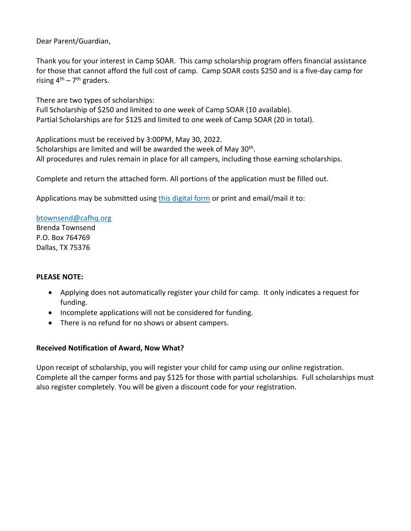Dear Parent/Guardian,

Thank you for your interest in Camp SOAR. This camp scholarship program offers financial assistance for those that cannot afford the full cost of camp. Camp SOAR costs \$250 and is a five-day camp for rising  $4^{th}$  – 7<sup>th</sup> graders.

There are two types of scholarships: Full Scholarship of \$250 and limited to one week of Camp SOAR (10 available). Partial Scholarships are for \$125 and limited to one week of Camp SOAR (20 in total).

Applications must be received by 3:00PM, May 30, 2022. Scholarships are limited and will be awarded the week of May 30<sup>th</sup>. All procedures and rules remain in place for all campers, including those earning scholarships.

Complete and return the attached form. All portions of the application must be filled out.

Applications may be submitted using this [digital form](https://forms.gle/jY4CStgRmLhfREPc8) or print and email/mail it to:

[btownsend@cafhq.org](mailto:btownsend@cafhq.org) Brenda Townsend P.O. Box 764769 Dallas, TX 75376

## **PLEASE NOTE:**

- Applying does not automatically register your child for camp. It only indicates a request for funding.
- Incomplete applications will not be considered for funding.
- There is no refund for no shows or absent campers.

## **Received Notification of Award, Now What?**

Upon receipt of scholarship, you will register your child for camp using our online registration. Complete all the camper forms and pay \$125 for those with partial scholarships. Full scholarships must also register completely. You will be given a discount code for your registration.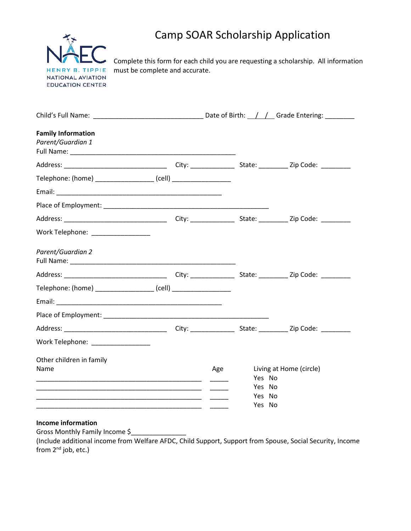

# Camp SOAR Scholarship Application

Complete this form for each child you are requesting a scholarship. All information must be complete and accurate.

| <b>Family Information</b><br>Parent/Guardian 1                   |  |     |  |                                   |  |  |
|------------------------------------------------------------------|--|-----|--|-----------------------------------|--|--|
|                                                                  |  |     |  |                                   |  |  |
| Telephone: (home) ____________________(cell) ___________________ |  |     |  |                                   |  |  |
|                                                                  |  |     |  |                                   |  |  |
|                                                                  |  |     |  |                                   |  |  |
|                                                                  |  |     |  |                                   |  |  |
| Work Telephone: ___________________                              |  |     |  |                                   |  |  |
| Parent/Guardian 2                                                |  |     |  |                                   |  |  |
|                                                                  |  |     |  |                                   |  |  |
| Telephone: (home) ___________________(cell) _________________    |  |     |  |                                   |  |  |
|                                                                  |  |     |  |                                   |  |  |
|                                                                  |  |     |  |                                   |  |  |
|                                                                  |  |     |  |                                   |  |  |
| Work Telephone: ________________                                 |  |     |  |                                   |  |  |
| Other children in family                                         |  |     |  |                                   |  |  |
| Name                                                             |  | Age |  | Living at Home (circle)<br>Yes No |  |  |
|                                                                  |  |     |  | Yes No                            |  |  |
|                                                                  |  | - - |  | Yes No<br>Yes No                  |  |  |

#### **Income information**

Gross Monthly Family Income \$\_\_\_\_\_\_\_\_\_\_\_\_\_\_\_

(Include additional income from Welfare AFDC, Child Support, Support from Spouse, Social Security, Income from 2<sup>nd</sup> job, etc.)